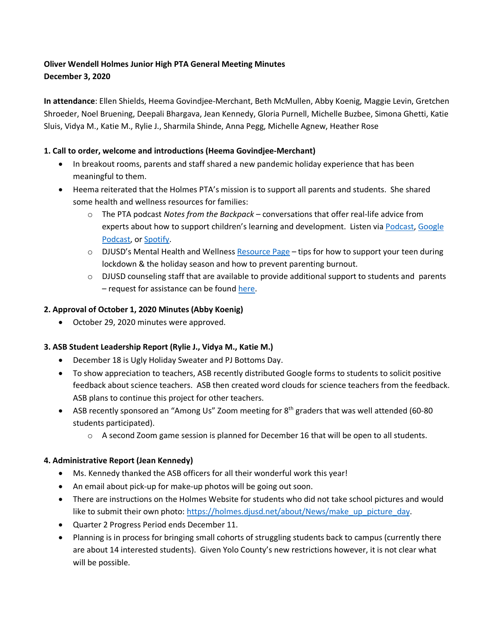# **Oliver Wendell Holmes Junior High PTA General Meeting Minutes December 3, 2020**

**In attendance**: Ellen Shields, Heema Govindjee-Merchant, Beth McMullen, Abby Koenig, Maggie Levin, Gretchen Shroeder, Noel Bruening, Deepali Bhargava, Jean Kennedy, Gloria Purnell, Michelle Buzbee, Simona Ghetti, Katie Sluis, Vidya M., Katie M., Rylie J., Sharmila Shinde, Anna Pegg, Michelle Agnew, Heather Rose

## **1. Call to order, welcome and introductions (Heema Govindjee-Merchant)**

- In breakout rooms, parents and staff shared a new pandemic holiday experience that has been meaningful to them.
- Heema reiterated that the Holmes PTA's mission is to support all parents and students. She shared some health and wellness resources for families:
	- o The PTA podcast *Notes from the Backpack* conversations that offer real-life advice from experts about how to support children's learning and development. Listen via Podcast, Google Podcast, or Spotify.
	- $\circ$  DJUSD's Mental Health and Wellness Resource Page tips for how to support your teen during lockdown & the holiday season and how to prevent parenting burnout.
	- o DJUSD counseling staff that are available to provide additional support to students and parents – request for assistance can be found here.

### **2. Approval of October 1, 2020 Minutes (Abby Koenig)**

• October 29, 2020 minutes were approved.

### **3. ASB Student Leadership Report (Rylie J., Vidya M., Katie M.)**

- December 18 is Ugly Holiday Sweater and PJ Bottoms Day.
- To show appreciation to teachers, ASB recently distributed Google forms to students to solicit positive feedback about science teachers. ASB then created word clouds for science teachers from the feedback. ASB plans to continue this project for other teachers.
- ASB recently sponsored an "Among Us" Zoom meeting for 8<sup>th</sup> graders that was well attended (60-80 students participated).
	- $\circ$  A second Zoom game session is planned for December 16 that will be open to all students.

### **4. Administrative Report (Jean Kennedy)**

- Ms. Kennedy thanked the ASB officers for all their wonderful work this year!
- An email about pick-up for make-up photos will be going out soon.
- There are instructions on the Holmes Website for students who did not take school pictures and would like to submit their own photo: https://holmes.djusd.net/about/News/make\_up\_picture\_day.
- Quarter 2 Progress Period ends December 11.
- Planning is in process for bringing small cohorts of struggling students back to campus (currently there are about 14 interested students). Given Yolo County's new restrictions however, it is not clear what will be possible.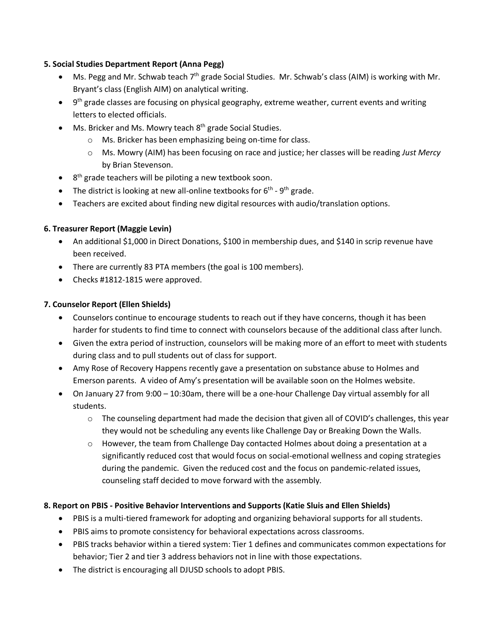### **5. Social Studies Department Report (Anna Pegg)**

- Ms. Pegg and Mr. Schwab teach  $7<sup>th</sup>$  grade Social Studies. Mr. Schwab's class (AIM) is working with Mr. Bryant's class (English AIM) on analytical writing.
- $\bullet$  9<sup>th</sup> grade classes are focusing on physical geography, extreme weather, current events and writing letters to elected officials.
- Ms. Bricker and Ms. Mowry teach  $8<sup>th</sup>$  grade Social Studies.
	- o Ms. Bricker has been emphasizing being on-time for class.
	- o Ms. Mowry (AIM) has been focusing on race and justice; her classes will be reading *Just Mercy* by Brian Stevenson.
- $\bullet$  8<sup>th</sup> grade teachers will be piloting a new textbook soon.
- The district is looking at new all-online textbooks for  $6<sup>th</sup>$   $9<sup>th</sup>$  grade.
- Teachers are excited about finding new digital resources with audio/translation options.

### **6. Treasurer Report (Maggie Levin)**

- An additional \$1,000 in Direct Donations, \$100 in membership dues, and \$140 in scrip revenue have been received.
- There are currently 83 PTA members (the goal is 100 members).
- Checks #1812-1815 were approved.

### **7. Counselor Report (Ellen Shields)**

- Counselors continue to encourage students to reach out if they have concerns, though it has been harder for students to find time to connect with counselors because of the additional class after lunch.
- Given the extra period of instruction, counselors will be making more of an effort to meet with students during class and to pull students out of class for support.
- Amy Rose of Recovery Happens recently gave a presentation on substance abuse to Holmes and Emerson parents. A video of Amy's presentation will be available soon on the Holmes website.
- On January 27 from 9:00 10:30am, there will be a one-hour Challenge Day virtual assembly for all students.
	- $\circ$  The counseling department had made the decision that given all of COVID's challenges, this year they would not be scheduling any events like Challenge Day or Breaking Down the Walls.
	- $\circ$  However, the team from Challenge Day contacted Holmes about doing a presentation at a significantly reduced cost that would focus on social-emotional wellness and coping strategies during the pandemic. Given the reduced cost and the focus on pandemic-related issues, counseling staff decided to move forward with the assembly.

### **8. Report on PBIS - Positive Behavior Interventions and Supports (Katie Sluis and Ellen Shields)**

- PBIS is a multi-tiered framework for adopting and organizing behavioral supports for all students.
- PBIS aims to promote consistency for behavioral expectations across classrooms.
- PBIS tracks behavior within a tiered system: Tier 1 defines and communicates common expectations for behavior; Tier 2 and tier 3 address behaviors not in line with those expectations.
- The district is encouraging all DJUSD schools to adopt PBIS.